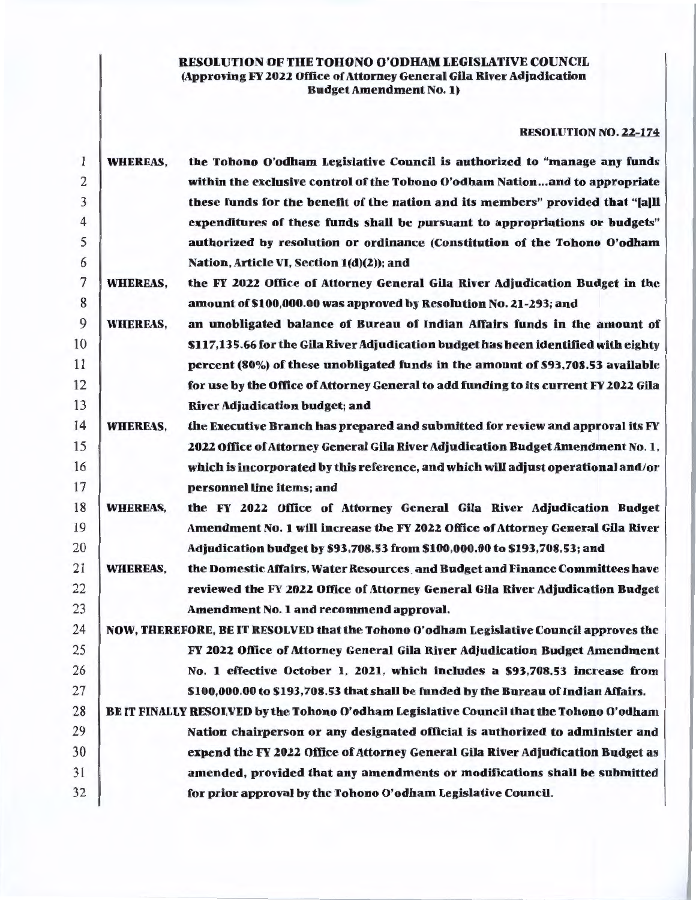## RESOLUTION OF THE TOHONO O'ODHAM LEGISLATIVE COUNCIL (Approving FY 2022 Office of Attorney General Gila River Adjudication Budget Amendment No. 1)

## RESOLUTION NO. 22-174

| 1              | <b>WHEREAS,</b> | the Tohono O'odham Legislative Council is authorized to "manage any funds                |
|----------------|-----------------|------------------------------------------------------------------------------------------|
| $\overline{c}$ |                 | within the exclusive control of the Tohono O'odham Nationand to appropriate              |
| 3              |                 | these funds for the benefit of the nation and its members" provided that "[a]ll          |
| $\overline{4}$ |                 | expenditures of these funds shall be pursuant to appropriations or budgets"              |
| 5              |                 | authorized by resolution or ordinance (Constitution of the Tohono O'odham                |
| 6              |                 | Nation, Article VI, Section 1(d)(2)); and                                                |
| 7              | <b>WHEREAS,</b> | the FY 2022 Office of Attorney General Gila River Adjudication Budget in the             |
| 8              |                 | amount of \$100,000.00 was approved by Resolution No. 21-293; and                        |
| 9              | <b>WHEREAS,</b> | an unobligated balance of Bureau of Indian Affairs funds in the amount of                |
| 10             |                 | \$117,135.66 for the Gila River Adjudication budget has been identified with eighty      |
| 11             |                 | percent (80%) of these unobligated funds in the amount of \$93,708.53 available          |
| 12             |                 | for use by the Office of Attorney General to add funding to its current FY 2022 Gila     |
| 13             |                 | <b>River Adjudication budget; and</b>                                                    |
| 14             | <b>WHEREAS,</b> | the Executive Branch has prepared and submitted for review and approval its FY           |
| 15             |                 | 2022 Office of Attorney General Gila River Adjudication Budget Amendment No. 1,          |
| 16             |                 | which is incorporated by this reference, and which will adjust operational and/or        |
| 17             |                 | personnel line items; and                                                                |
| 18             | <b>WHEREAS,</b> | the FY 2022 Office of Attorney General Gila River Adjudication Budget                    |
| 19             |                 | Amendment No. 1 will increase the FY 2022 Office of Attorney General Gila River          |
| 20             |                 | Adjudication budget by \$93,708.53 from \$100,000.00 to \$193,708.53; and                |
| 21             | <b>WHEREAS,</b> | the Domestic Affairs, Water Resources, and Budget and Finance Committees have            |
| 22             |                 | reviewed the FY 2022 Office of Attorney General Gila River Adjudication Budget           |
| 23             |                 | Amendment No. 1 and recommend approval.                                                  |
| 24             |                 | NOW, THEREFORE, BE IT RESOLVED that the Tohono O'odham Legislative Council approves the  |
| 25             |                 | FY 2022 Office of Attorney General Gila River Adjudication Budget Amendment              |
| 26             |                 | No. 1 effective October 1, 2021, which includes a \$93,708.53 increase from              |
| 27             |                 | \$100,000.00 to \$193,708.53 that shall be funded by the Bureau of Indian Affairs.       |
| 28             |                 | BE IT FINALLY RESOLVED by the Tohono O'odham Legislative Council that the Tohono O'odham |
| 29             |                 | Nation chairperson or any designated official is authorized to administer and            |
| 30             |                 | expend the FY 2022 Office of Attorney General Gila River Adjudication Budget as          |
| 31             |                 | amended, provided that any amendments or modifications shall be submitted                |
| 32             |                 | for prior approval by the Tohono O'odham Legislative Council.                            |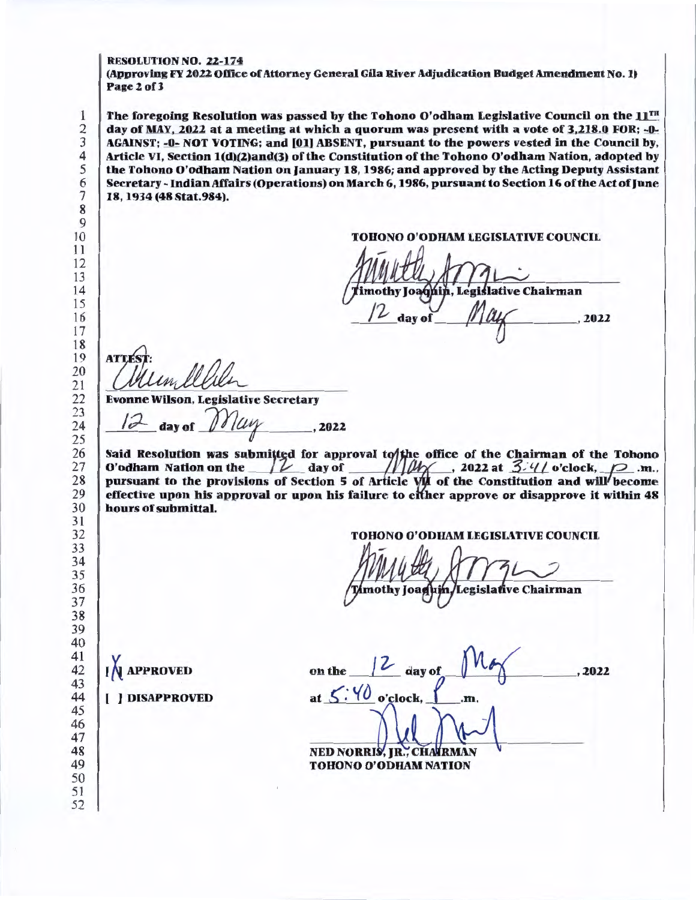#### RESOLUTION NO. 22-174

(Approving FY 2022 Office of Attorney General Gila River Adjudication Budget Amendment No. 1) Page 2 of 3

The foregoing Resolution was passed by the Tohono O'odham Legislative Council on the  $11<sup>TH</sup>$ day of MAY, 2022 at a meeting at which a quorum was present with a vote of 3,218.0 FOR; -0-AGAINST; -0- NOT VOTING; and [01] ABSENT, pursuant to the powers vested in the Council by, Article VI, Section 1(d)(2)and(3) of the Constitution of the Tohono O'odham Nation, adopted by the Tohono O'odham Nation on January 18, 1986; and approved by the Acting Deputy Assistant Secretary- Indian Affairs (Operations) on March 6, 1986, pursuant to Section 16 of the Act of June 18, 1934 (48 Stat.984).

TOHONO O'ODHAM LEGISLATIVE COUNCIL

égislative Chairman $\textcolor{red}{{\mathscr M}}\textcolor{red}{{\mathscr M}}$ , 2022 mothy Joaqµin, day of

**ATTES** 

Evonne Wilson, Legislative Secretary

/ *:?--* day or *1/J°1'* , 2022

Said Resolution was submitted for approval to the office of the Chairman of the Tohono O'odham Nation on the  $f\overline{\mathcal{L}}$  day of  $f\overline{\mathcal{L}}$  , 2022 at *3.:'t*/ o'clock,  $f$  .m., pursuant to the provisions of Section 5 of Article  $V/\mu$  of the Constitution and will become effective upon his approval or upon his failure to efther approve or disapprove it within 48 hours of submittal.

#### TOHONO O'ODHAM LEGISLATIVE COUNCIL

mothy Joag egislative Chairman

on the  $\frac{1}{2}$  day of at  $\frac{\zeta' \vee \theta}{\omega' \text{clock}, \bot}$ .m. NED NORRIS, JR., CHAIRMAN ,2022 TOHONO O'ODHAM NATION

APPROVED

## [ ) DISAPPROVED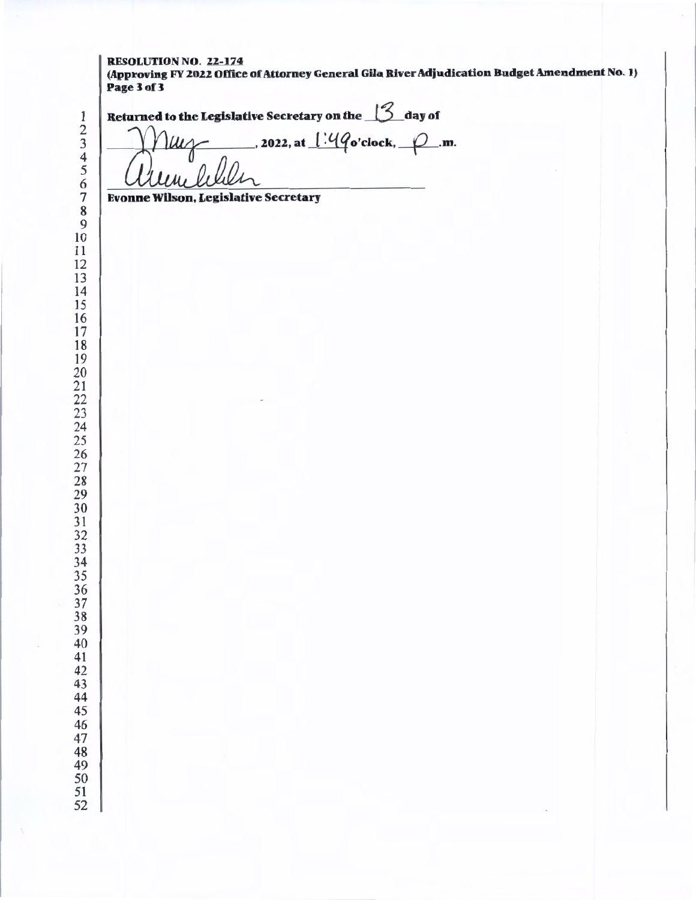#### RESOLUTION NO. 22-174 (Approving FY 2022 Office of Attorney General Gila River Adjudication Budget Amendment No. 1) Page 3 of 3

| Page 3 of 3                                                 |
|-------------------------------------------------------------|
| Returned to the Legislative Secretary on the $\beta$ day of |
| 2022, at $1.49$ o'clock, $\varphi$ m.                       |
|                                                             |
| <b>Evonne Wilson, Legislative Secretary</b>                 |
|                                                             |